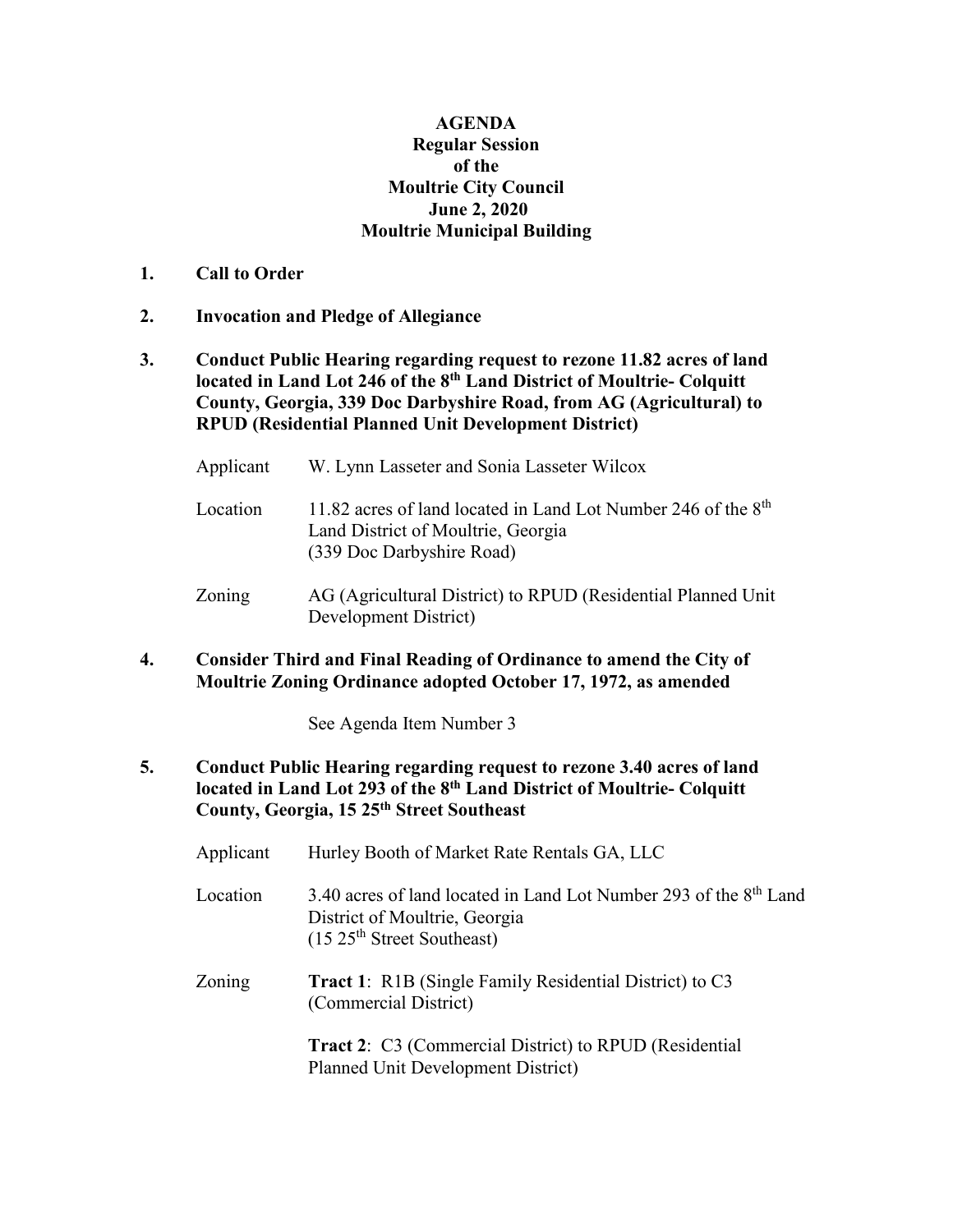## **AGENDA Regular Session of the Moultrie City Council June 2, 2020 Moultrie Municipal Building**

- **1. Call to Order**
- **2. Invocation and Pledge of Allegiance**
- **3. Conduct Public Hearing regarding request to rezone 11.82 acres of land located in Land Lot 246 of the 8th Land District of Moultrie- Colquitt County, Georgia, 339 Doc Darbyshire Road, from AG (Agricultural) to RPUD (Residential Planned Unit Development District)**
	- Applicant W. Lynn Lasseter and Sonia Lasseter Wilcox
	- Location 11.82 acres of land located in Land Lot Number 246 of the 8<sup>th</sup> Land District of Moultrie, Georgia (339 Doc Darbyshire Road)
	- Zoning AG (Agricultural District) to RPUD (Residential Planned Unit Development District)
- **4. Consider Third and Final Reading of Ordinance to amend the City of Moultrie Zoning Ordinance adopted October 17, 1972, as amended**

See Agenda Item Number 3

**5. Conduct Public Hearing regarding request to rezone 3.40 acres of land located in Land Lot 293 of the 8th Land District of Moultrie- Colquitt County, Georgia, 15 25th Street Southeast**

| Applicant | Hurley Booth of Market Rate Rentals GA, LLC                                                                                                             |
|-----------|---------------------------------------------------------------------------------------------------------------------------------------------------------|
| Location  | 3.40 acres of land located in Land Lot Number 293 of the 8 <sup>th</sup> Land<br>District of Moultrie, Georgia<br>(15.25 <sup>th</sup> Street Southern) |
| Zoning    | <b>Tract 1:</b> R1B (Single Family Residential District) to C3<br>(Commercial District)                                                                 |
|           | <b>Tract 2:</b> C3 (Commercial District) to RPUD (Residential<br><b>Planned Unit Development District)</b>                                              |